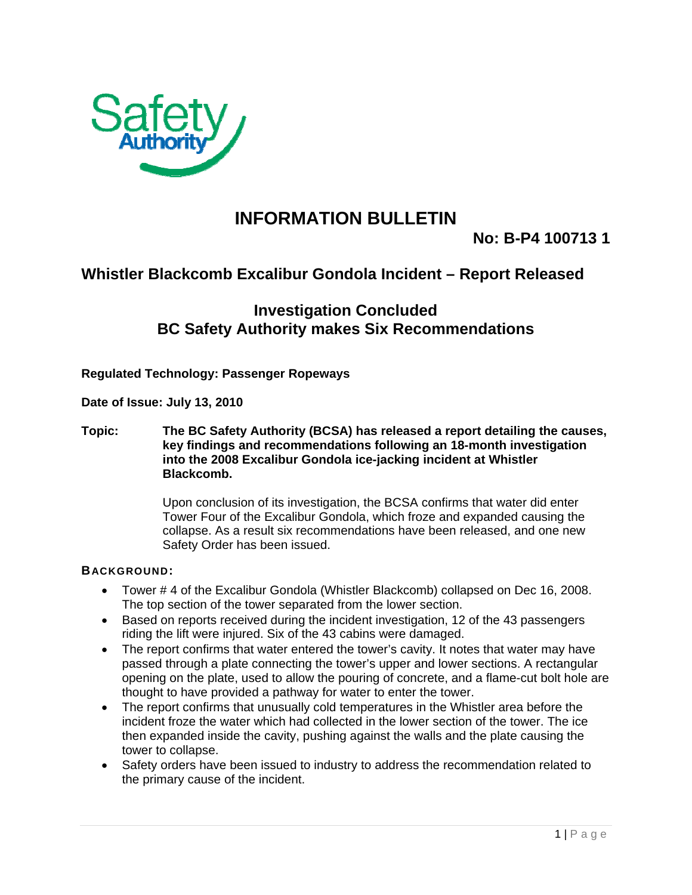

## **INFORMATION BULLETIN**

**No: B-P4 100713 1** 

## **Whistler Blackcomb Excalibur Gondola Incident – Report Released**

## **Investigation Concluded BC Safety Authority makes Six Recommendations**

**Regulated Technology: Passenger Ropeways** 

**Date of Issue: July 13, 2010** 

**Topic: The BC Safety Authority (BCSA) has released a report detailing the causes, key findings and recommendations following an 18-month investigation into the 2008 Excalibur Gondola ice-jacking incident at Whistler Blackcomb.** 

> Upon conclusion of its investigation, the BCSA confirms that water did enter Tower Four of the Excalibur Gondola, which froze and expanded causing the collapse. As a result six recommendations have been released, and one new Safety Order has been issued.

## **BACKGROUND:**

- Tower # 4 of the Excalibur Gondola (Whistler Blackcomb) collapsed on Dec 16, 2008. The top section of the tower separated from the lower section.
- Based on reports received during the incident investigation, 12 of the 43 passengers riding the lift were injured. Six of the 43 cabins were damaged.
- The report confirms that water entered the tower's cavity. It notes that water may have passed through a plate connecting the tower's upper and lower sections. A rectangular opening on the plate, used to allow the pouring of concrete, and a flame-cut bolt hole are thought to have provided a pathway for water to enter the tower.
- The report confirms that unusually cold temperatures in the Whistler area before the incident froze the water which had collected in the lower section of the tower. The ice then expanded inside the cavity, pushing against the walls and the plate causing the tower to collapse.
- Safety orders have been issued to industry to address the recommendation related to the primary cause of the incident.